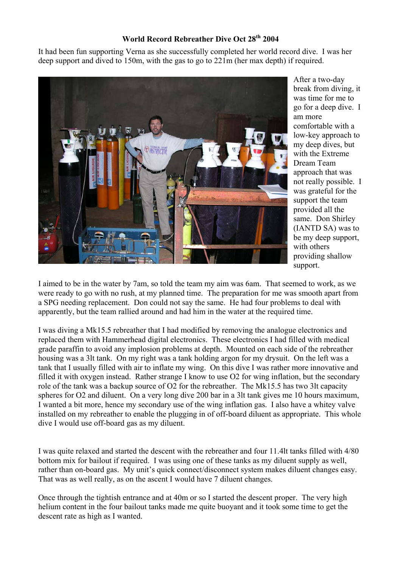## **World Record Rebreather Dive Oct 28th 2004**

It had been fun supporting Verna as she successfully completed her world record dive. I was her deep support and dived to 150m, with the gas to go to 221m (her max depth) if required.



After a two-day break from diving, it was time for me to go for a deep dive. I am more comfortable with a low-key approach to my deep dives, but with the Extreme Dream Team approach that was not really possible. I was grateful for the support the team provided all the same. Don Shirley (IANTD SA) was to be my deep support, with others providing shallow support.

I aimed to be in the water by 7am, so told the team my aim was 6am. That seemed to work, as we were ready to go with no rush, at my planned time. The preparation for me was smooth apart from a SPG needing replacement. Don could not say the same. He had four problems to deal with apparently, but the team rallied around and had him in the water at the required time.

I was diving a Mk15.5 rebreather that I had modified by removing the analogue electronics and replaced them with Hammerhead digital electronics. These electronics I had filled with medical grade paraffin to avoid any implosion problems at depth. Mounted on each side of the rebreather housing was a 3lt tank. On my right was a tank holding argon for my drysuit. On the left was a tank that I usually filled with air to inflate my wing. On this dive I was rather more innovative and filled it with oxygen instead. Rather strange I know to use O2 for wing inflation, but the secondary role of the tank was a backup source of O2 for the rebreather. The Mk15.5 has two 3lt capacity spheres for O2 and diluent. On a very long dive 200 bar in a 3lt tank gives me 10 hours maximum, I wanted a bit more, hence my secondary use of the wing inflation gas. I also have a whitey valve installed on my rebreather to enable the plugging in of off-board diluent as appropriate. This whole dive I would use off-board gas as my diluent.

I was quite relaxed and started the descent with the rebreather and four 11.4lt tanks filled with 4/80 bottom mix for bailout if required. I was using one of these tanks as my diluent supply as well, rather than on-board gas. My unit's quick connect/disconnect system makes diluent changes easy. That was as well really, as on the ascent I would have 7 diluent changes.

Once through the tightish entrance and at 40m or so I started the descent proper. The very high helium content in the four bailout tanks made me quite buoyant and it took some time to get the descent rate as high as I wanted.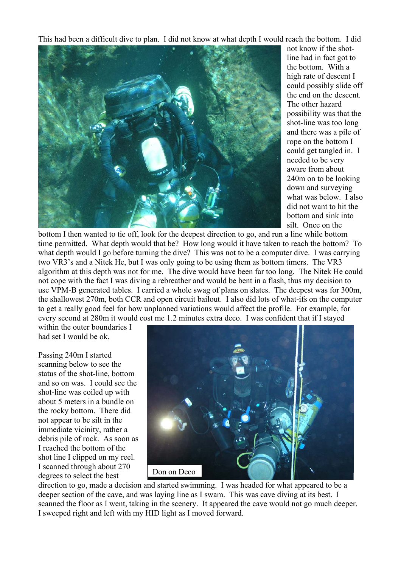This had been a difficult dive to plan. I did not know at what depth I would reach the bottom. I did



not know if the shotline had in fact got to the bottom. With a high rate of descent I could possibly slide off the end on the descent. The other hazard possibility was that the shot-line was too long and there was a pile of rope on the bottom I could get tangled in. I needed to be very aware from about 240m on to be looking down and surveying what was below. I also did not want to hit the bottom and sink into silt. Once on the

bottom I then wanted to tie off, look for the deepest direction to go, and run a line while bottom time permitted. What depth would that be? How long would it have taken to reach the bottom? To what depth would I go before turning the dive? This was not to be a computer dive. I was carrying two VR3's and a Nitek He, but I was only going to be using them as bottom timers. The VR3 algorithm at this depth was not for me. The dive would have been far too long. The Nitek He could not cope with the fact I was diving a rebreather and would be bent in a flash, thus my decision to use VPM-B generated tables. I carried a whole swag of plans on slates. The deepest was for 300m, the shallowest 270m, both CCR and open circuit bailout. I also did lots of what-ifs on the computer to get a really good feel for how unplanned variations would affect the profile. For example, for every second at 280m it would cost me 1.2 minutes extra deco. I was confident that if I stayed

within the outer boundaries I had set I would be ok.

Passing 240m I started scanning below to see the status of the shot-line, bottom and so on was. I could see the shot-line was coiled up with about 5 meters in a bundle on the rocky bottom. There did not appear to be silt in the immediate vicinity, rather a debris pile of rock. As soon as I reached the bottom of the shot line I clipped on my reel. I scanned through about 270 degrees to select the best



direction to go, made a decision and started swimming. I was headed for what appeared to be a deeper section of the cave, and was laying line as I swam. This was cave diving at its best. I scanned the floor as I went, taking in the scenery. It appeared the cave would not go much deeper. I sweeped right and left with my HID light as I moved forward.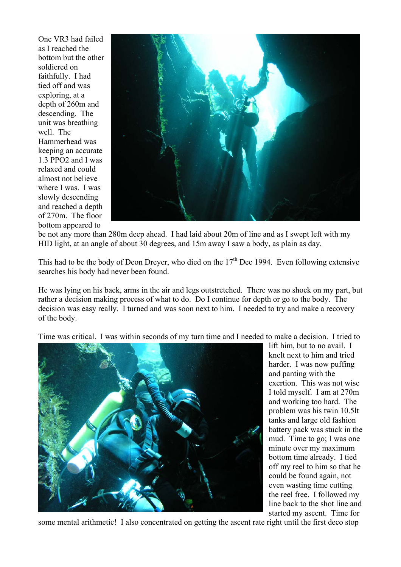One VR3 had failed as I reached the bottom but the other soldiered on faithfully. I had tied off and was exploring, at a depth of 260m and descending. The unit was breathing well. The Hammerhead was keeping an accurate 1.3 PPO2 and I was relaxed and could almost not believe where I was. I was slowly descending and reached a depth of 270m. The floor bottom appeared to



be not any more than 280m deep ahead. I had laid about 20m of line and as I swept left with my HID light, at an angle of about 30 degrees, and 15m away I saw a body, as plain as day.

This had to be the body of Deon Dreyer, who died on the  $17<sup>th</sup>$  Dec 1994. Even following extensive searches his body had never been found.

He was lying on his back, arms in the air and legs outstretched. There was no shock on my part, but rather a decision making process of what to do. Do I continue for depth or go to the body. The decision was easy really. I turned and was soon next to him. I needed to try and make a recovery of the body.





lift him, but to no avail. I knelt next to him and tried harder. I was now puffing and panting with the exertion. This was not wise I told myself. I am at 270m and working too hard. The problem was his twin 10.5lt tanks and large old fashion battery pack was stuck in the mud. Time to go; I was one minute over my maximum bottom time already. I tied off my reel to him so that he could be found again, not even wasting time cutting the reel free. I followed my line back to the shot line and started my ascent. Time for

some mental arithmetic! I also concentrated on getting the ascent rate right until the first deco stop